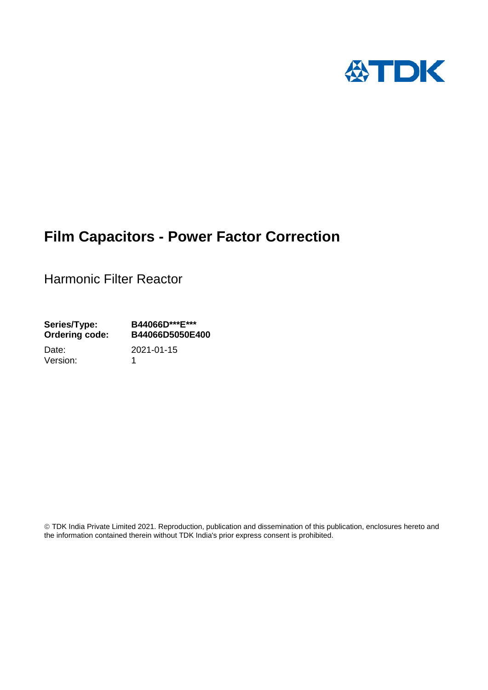

# **Film Capacitors - Power Factor Correction**

Harmonic Filter Reactor

**Series/Type: B44066D\*\*\*E\*\*\* Ordering code: B44066D5050E400**

Version: 1

Date: 2021-01-15

 TDK India Private Limited 2021. Reproduction, publication and dissemination of this publication, enclosures hereto and the information contained therein without TDK India's prior express consent is prohibited.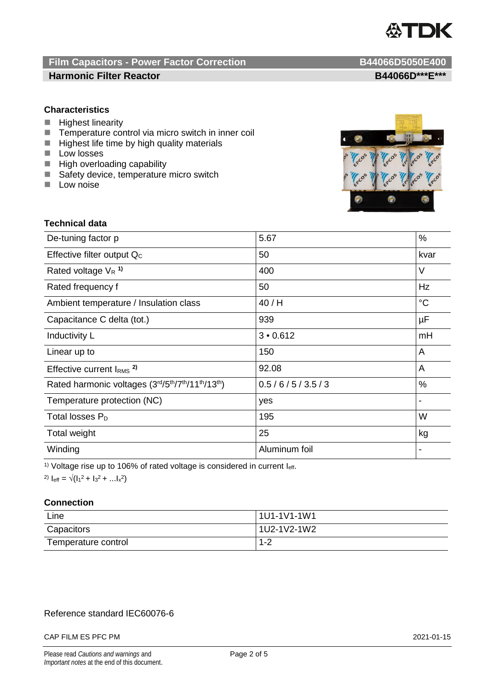

## **Film Capacitors - Power Factor Correction B44066D5050E400 Harmonic Filter Reactor B44066D\*\*\*E\*\*\***

## **Characteristics**

- **Highest linearity**
- $\blacksquare$  Temperature control via micro switch in inner coil<br> $\blacksquare$  Highest life time by high quality materials
- Highest life time by high quality materials
- **Low losses**
- **High overloading capability**
- Safety device, temperature micro switch
- $\blacksquare$  Low noise



## **Technical data**

| De-tuning factor p                              | 5.67          | %               |
|-------------------------------------------------|---------------|-----------------|
| Effective filter output Q <sub>c</sub>          | 50            | kvar            |
| Rated voltage $V_R$ <sup>1)</sup>               | 400           | V               |
| Rated frequency f                               | 50            | Hz              |
| Ambient temperature / Insulation class          | 40/H          | $\rm ^{\circ}C$ |
| Capacitance C delta (tot.)                      | 939           | μF              |
| Inductivity L                                   | 3 • 0.612     | mH              |
| Linear up to                                    | 150           | A               |
| Effective current $IRMS$ <sup>2)</sup>          | 92.08         | A               |
| Rated harmonic voltages (3rd/5th/7th/11th/13th) | 0.5/6/5/3.5/3 | %               |
| Temperature protection (NC)                     | yes           |                 |
| Total losses $P_D$                              | 195           | W               |
| Total weight                                    | 25            | kg              |
| Winding                                         | Aluminum foil |                 |

<sup>1)</sup> Voltage rise up to 106% of rated voltage is considered in current  $I_{\text{eff}}$ .

2)  $I_{\text{eff}} = \sqrt{(I_1^2 + I_3^2 + ... I_x^2)}$ 

## **Connection**

| Line                | 1U1-1V1-1W1 |
|---------------------|-------------|
| Capacitors          | 1U2-1V2-1W2 |
| Temperature control | $1 - 2$     |

## Reference standard IEC60076-6

### CAP FILM ES PFC PM 2021-01-15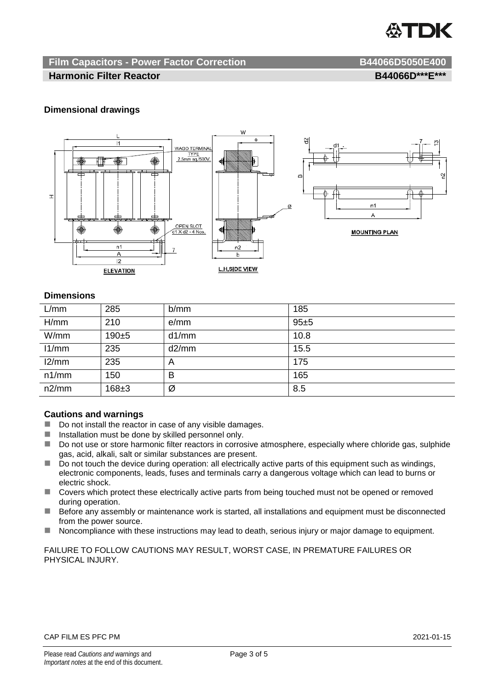

## **Film Capacitors - Power Factor Correction B44066D5050E400**

## **Harmonic Filter Reactor B44066D\*\*\*E\*\*\***

## **Dimensional drawings**



## **Dimensions**

| L/mm  | 285       | b/mm  | 185  |
|-------|-----------|-------|------|
| H/mm  | 210       | e/mm  | 95±5 |
| W/mm  | $190 + 5$ | d1/mm | 10.8 |
| 11/mm | 235       | d2/mm | 15.5 |
| 12/mm | 235       | A     | 175  |
| n1/mm | 150       | в     | 165  |
| n2/mm | $168 + 3$ | Ø     | 8.5  |

## **Cautions and warnings**

- Do not install the reactor in case of any visible damages.
- $\blacksquare$  Installation must be done by skilled personnel only.
- Do not use or store harmonic filter reactors in corrosive atmosphere, especially where chloride gas, sulphide gas, acid, alkali, salt or similar substances are present.
- $\Box$  Do not touch the device during operation: all electrically active parts of this equipment such as windings, electronic components, leads, fuses and terminals carry a dangerous voltage which can lead to burns or electric shock.
- Covers which protect these electrically active parts from being touched must not be opened or removed during operation.
- Before any assembly or maintenance work is started, all installations and equipment must be disconnected from the power source.
- Noncompliance with these instructions may lead to death, serious injury or major damage to equipment.

FAILURE TO FOLLOW CAUTIONS MAY RESULT, WORST CASE, IN PREMATURE FAILURES OR PHYSICAL INJURY.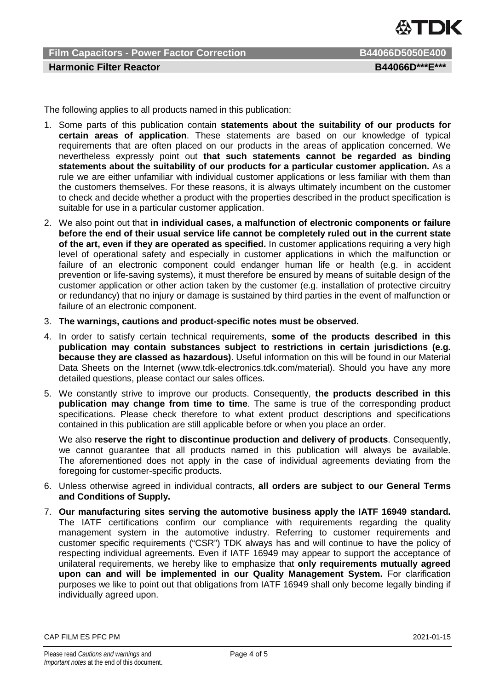

**Film Capacitors - Power Factor Correction B44066D5050E400 Harmonic Filter Reactor B44066D\*\*\*E\*\*\*** 

The following applies to all products named in this publication:

- 1. Some parts of this publication contain **statements about the suitability of our products for certain areas of application**. These statements are based on our knowledge of typical requirements that are often placed on our products in the areas of application concerned. We nevertheless expressly point out **that such statements cannot be regarded as binding statements about the suitability of our products for a particular customer application.** As a rule we are either unfamiliar with individual customer applications or less familiar with them than the customers themselves. For these reasons, it is always ultimately incumbent on the customer to check and decide whether a product with the properties described in the product specification is suitable for use in a particular customer application.
- 2. We also point out that **in individual cases, a malfunction of electronic components or failure before the end of their usual service life cannot be completely ruled out in the current state of the art, even if they are operated as specified.** In customer applications requiring a very high level of operational safety and especially in customer applications in which the malfunction or failure of an electronic component could endanger human life or health (e.g. in accident prevention or life-saving systems), it must therefore be ensured by means of suitable design of the customer application or other action taken by the customer (e.g. installation of protective circuitry or redundancy) that no injury or damage is sustained by third parties in the event of malfunction or failure of an electronic component.
- 3. **The warnings, cautions and product-specific notes must be observed.**
- 4. In order to satisfy certain technical requirements, **some of the products described in this publication may contain substances subject to restrictions in certain jurisdictions (e.g. because they are classed as hazardous)**. Useful information on this will be found in our Material Data Sheets on the Internet (www.tdk-electronics.tdk.com/material). Should you have any more detailed questions, please contact our sales offices.
- 5. We constantly strive to improve our products. Consequently, **the products described in this publication may change from time to time**. The same is true of the corresponding product specifications. Please check therefore to what extent product descriptions and specifications contained in this publication are still applicable before or when you place an order.

We also **reserve the right to discontinue production and delivery of products**. Consequently, we cannot guarantee that all products named in this publication will always be available. The aforementioned does not apply in the case of individual agreements deviating from the foregoing for customer-specific products.

- 6. Unless otherwise agreed in individual contracts, **all orders are subject to our General Terms and Conditions of Supply.**
- 7. **Our manufacturing sites serving the automotive business apply the IATF 16949 standard.** The IATF certifications confirm our compliance with requirements regarding the quality management system in the automotive industry. Referring to customer requirements and customer specific requirements ("CSR") TDK always has and will continue to have the policy of respecting individual agreements. Even if IATF 16949 may appear to support the acceptance of unilateral requirements, we hereby like to emphasize that **only requirements mutually agreed upon can and will be implemented in our Quality Management System.** For clarification purposes we like to point out that obligations from IATF 16949 shall only become legally binding if individually agreed upon.